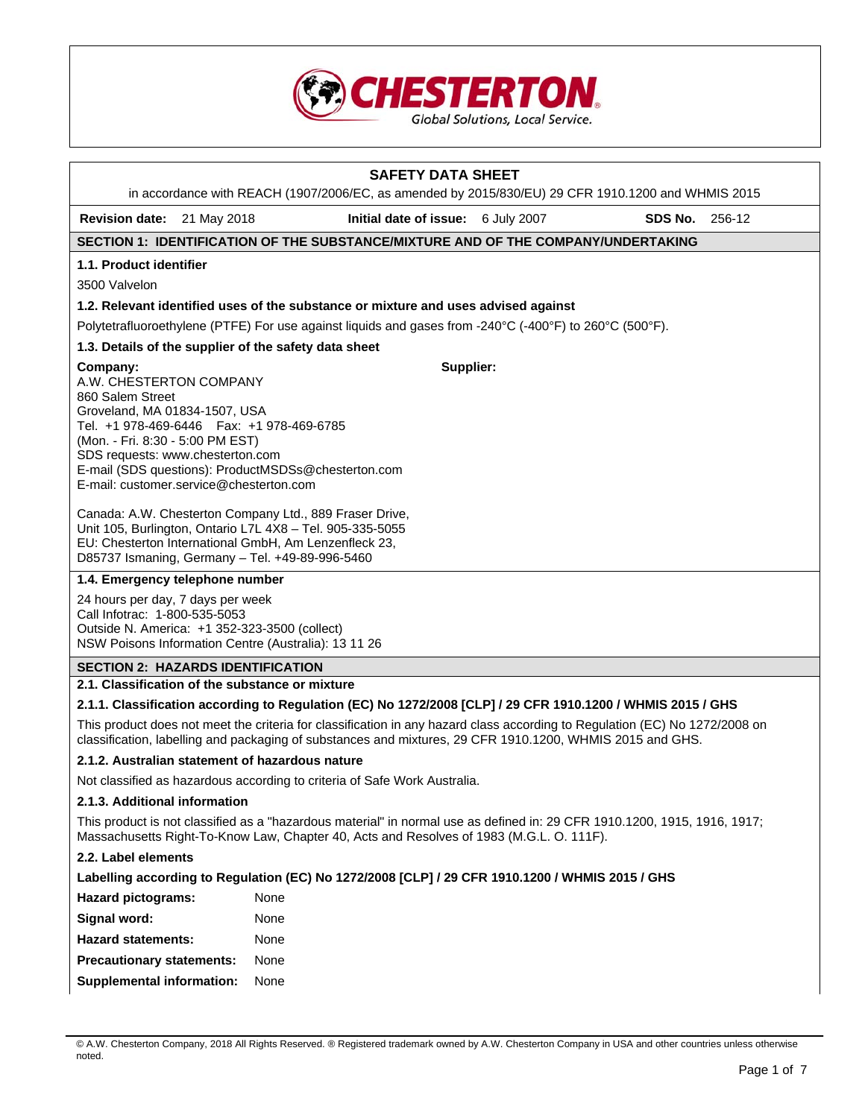

| <b>SAFETY DATA SHEET</b><br>in accordance with REACH (1907/2006/EC, as amended by 2015/830/EU) 29 CFR 1910.1200 and WHMIS 2015                                                                                                                                                                                                                                                                                                                                                                                  |                                                                                                         |  |                   |  |  |  |  |
|-----------------------------------------------------------------------------------------------------------------------------------------------------------------------------------------------------------------------------------------------------------------------------------------------------------------------------------------------------------------------------------------------------------------------------------------------------------------------------------------------------------------|---------------------------------------------------------------------------------------------------------|--|-------------------|--|--|--|--|
| <b>Revision date:</b> 21 May 2018                                                                                                                                                                                                                                                                                                                                                                                                                                                                               | Initial date of issue: 6 July 2007                                                                      |  | SDS No.<br>256-12 |  |  |  |  |
|                                                                                                                                                                                                                                                                                                                                                                                                                                                                                                                 | SECTION 1: IDENTIFICATION OF THE SUBSTANCE/MIXTURE AND OF THE COMPANY/UNDERTAKING                       |  |                   |  |  |  |  |
| 1.1. Product identifier                                                                                                                                                                                                                                                                                                                                                                                                                                                                                         |                                                                                                         |  |                   |  |  |  |  |
| 3500 Valvelon                                                                                                                                                                                                                                                                                                                                                                                                                                                                                                   |                                                                                                         |  |                   |  |  |  |  |
|                                                                                                                                                                                                                                                                                                                                                                                                                                                                                                                 | 1.2. Relevant identified uses of the substance or mixture and uses advised against                      |  |                   |  |  |  |  |
|                                                                                                                                                                                                                                                                                                                                                                                                                                                                                                                 | Polytetrafluoroethylene (PTFE) For use against liquids and gases from -240°C (-400°F) to 260°C (500°F). |  |                   |  |  |  |  |
| 1.3. Details of the supplier of the safety data sheet                                                                                                                                                                                                                                                                                                                                                                                                                                                           |                                                                                                         |  |                   |  |  |  |  |
| Supplier:<br>Company:<br>A.W. CHESTERTON COMPANY<br>860 Salem Street<br>Groveland, MA 01834-1507, USA<br>Tel. +1 978-469-6446   Fax: +1 978-469-6785<br>(Mon. - Fri. 8:30 - 5:00 PM EST)<br>SDS requests: www.chesterton.com<br>E-mail (SDS questions): ProductMSDSs@chesterton.com<br>E-mail: customer.service@chesterton.com<br>Canada: A.W. Chesterton Company Ltd., 889 Fraser Drive,<br>Unit 105, Burlington, Ontario L7L 4X8 - Tel. 905-335-5055<br>EU: Chesterton International GmbH, Am Lenzenfleck 23, |                                                                                                         |  |                   |  |  |  |  |
| D85737 Ismaning, Germany - Tel. +49-89-996-5460                                                                                                                                                                                                                                                                                                                                                                                                                                                                 |                                                                                                         |  |                   |  |  |  |  |
| 1.4. Emergency telephone number                                                                                                                                                                                                                                                                                                                                                                                                                                                                                 |                                                                                                         |  |                   |  |  |  |  |
| 24 hours per day, 7 days per week<br>Call Infotrac: 1-800-535-5053<br>Outside N. America: +1 352-323-3500 (collect)<br>NSW Poisons Information Centre (Australia): 13 11 26                                                                                                                                                                                                                                                                                                                                     |                                                                                                         |  |                   |  |  |  |  |
| <b>SECTION 2: HAZARDS IDENTIFICATION</b>                                                                                                                                                                                                                                                                                                                                                                                                                                                                        |                                                                                                         |  |                   |  |  |  |  |
| 2.1. Classification of the substance or mixture                                                                                                                                                                                                                                                                                                                                                                                                                                                                 |                                                                                                         |  |                   |  |  |  |  |
| 2.1.1. Classification according to Regulation (EC) No 1272/2008 [CLP] / 29 CFR 1910.1200 / WHMIS 2015 / GHS                                                                                                                                                                                                                                                                                                                                                                                                     |                                                                                                         |  |                   |  |  |  |  |
| This product does not meet the criteria for classification in any hazard class according to Regulation (EC) No 1272/2008 on<br>classification, labelling and packaging of substances and mixtures, 29 CFR 1910.1200, WHMIS 2015 and GHS.                                                                                                                                                                                                                                                                        |                                                                                                         |  |                   |  |  |  |  |
| 2.1.2. Australian statement of hazardous nature                                                                                                                                                                                                                                                                                                                                                                                                                                                                 |                                                                                                         |  |                   |  |  |  |  |
| Not classified as hazardous according to criteria of Safe Work Australia.                                                                                                                                                                                                                                                                                                                                                                                                                                       |                                                                                                         |  |                   |  |  |  |  |
| 2.1.3. Additional information                                                                                                                                                                                                                                                                                                                                                                                                                                                                                   |                                                                                                         |  |                   |  |  |  |  |
| This product is not classified as a "hazardous material" in normal use as defined in: 29 CFR 1910.1200, 1915, 1916, 1917;<br>Massachusetts Right-To-Know Law, Chapter 40, Acts and Resolves of 1983 (M.G.L. O. 111F).                                                                                                                                                                                                                                                                                           |                                                                                                         |  |                   |  |  |  |  |
| 2.2. Label elements                                                                                                                                                                                                                                                                                                                                                                                                                                                                                             |                                                                                                         |  |                   |  |  |  |  |
| Labelling according to Regulation (EC) No 1272/2008 [CLP] / 29 CFR 1910.1200 / WHMIS 2015 / GHS                                                                                                                                                                                                                                                                                                                                                                                                                 |                                                                                                         |  |                   |  |  |  |  |
| <b>Hazard pictograms:</b>                                                                                                                                                                                                                                                                                                                                                                                                                                                                                       | None                                                                                                    |  |                   |  |  |  |  |
| Signal word:                                                                                                                                                                                                                                                                                                                                                                                                                                                                                                    | None                                                                                                    |  |                   |  |  |  |  |
| <b>Hazard statements:</b>                                                                                                                                                                                                                                                                                                                                                                                                                                                                                       | None                                                                                                    |  |                   |  |  |  |  |
| <b>Precautionary statements:</b>                                                                                                                                                                                                                                                                                                                                                                                                                                                                                | None                                                                                                    |  |                   |  |  |  |  |
| Supplemental information:                                                                                                                                                                                                                                                                                                                                                                                                                                                                                       | None                                                                                                    |  |                   |  |  |  |  |

<sup>©</sup> A.W. Chesterton Company, 2018 All Rights Reserved. ® Registered trademark owned by A.W. Chesterton Company in USA and other countries unless otherwise noted.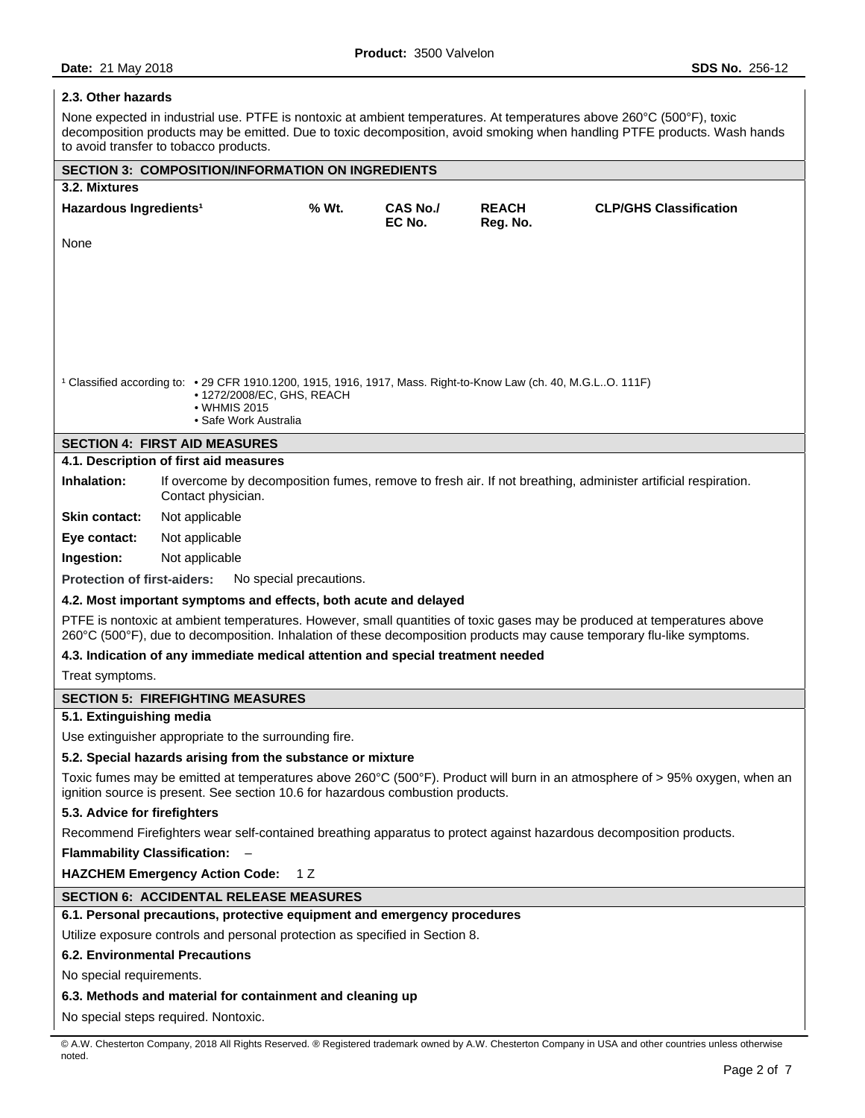### **2.3. Other hazards**

None expected in industrial use. PTFE is nontoxic at ambient temperatures. At temperatures above 260°C (500°F), toxic decomposition products may be emitted. Due to toxic decomposition, avoid smoking when handling PTFE products. Wash hands to avoid transfer to tobacco products.

| <b>SECTION 3: COMPOSITION/INFORMATION ON INGREDIENTS</b><br>3.2. Mixtures                                                                                                                                                                          |                                                                                                                         |       |                 |              |                                                                                                                             |  |
|----------------------------------------------------------------------------------------------------------------------------------------------------------------------------------------------------------------------------------------------------|-------------------------------------------------------------------------------------------------------------------------|-------|-----------------|--------------|-----------------------------------------------------------------------------------------------------------------------------|--|
| Hazardous Ingredients <sup>1</sup>                                                                                                                                                                                                                 |                                                                                                                         | % Wt. | <b>CAS No./</b> | <b>REACH</b> | <b>CLP/GHS Classification</b>                                                                                               |  |
| None                                                                                                                                                                                                                                               |                                                                                                                         |       | EC No.          | Reg. No.     |                                                                                                                             |  |
|                                                                                                                                                                                                                                                    |                                                                                                                         |       |                 |              |                                                                                                                             |  |
|                                                                                                                                                                                                                                                    |                                                                                                                         |       |                 |              |                                                                                                                             |  |
|                                                                                                                                                                                                                                                    |                                                                                                                         |       |                 |              |                                                                                                                             |  |
|                                                                                                                                                                                                                                                    |                                                                                                                         |       |                 |              |                                                                                                                             |  |
|                                                                                                                                                                                                                                                    |                                                                                                                         |       |                 |              |                                                                                                                             |  |
|                                                                                                                                                                                                                                                    |                                                                                                                         |       |                 |              |                                                                                                                             |  |
|                                                                                                                                                                                                                                                    | $1$ Classified according to: $\cdot$ 29 CFR 1910.1200, 1915, 1916, 1917, Mass. Right-to-Know Law (ch. 40, M.G.LO. 111F) |       |                 |              |                                                                                                                             |  |
|                                                                                                                                                                                                                                                    | • 1272/2008/EC, GHS, REACH<br>• WHMIS 2015                                                                              |       |                 |              |                                                                                                                             |  |
|                                                                                                                                                                                                                                                    | • Safe Work Australia                                                                                                   |       |                 |              |                                                                                                                             |  |
|                                                                                                                                                                                                                                                    | <b>SECTION 4: FIRST AID MEASURES</b>                                                                                    |       |                 |              |                                                                                                                             |  |
|                                                                                                                                                                                                                                                    | 4.1. Description of first aid measures                                                                                  |       |                 |              |                                                                                                                             |  |
| Inhalation:                                                                                                                                                                                                                                        | Contact physician.                                                                                                      |       |                 |              | If overcome by decomposition fumes, remove to fresh air. If not breathing, administer artificial respiration.               |  |
| <b>Skin contact:</b>                                                                                                                                                                                                                               | Not applicable                                                                                                          |       |                 |              |                                                                                                                             |  |
| Eye contact:                                                                                                                                                                                                                                       | Not applicable                                                                                                          |       |                 |              |                                                                                                                             |  |
| Ingestion:                                                                                                                                                                                                                                         | Not applicable                                                                                                          |       |                 |              |                                                                                                                             |  |
| <b>Protection of first-aiders:</b>                                                                                                                                                                                                                 | No special precautions.                                                                                                 |       |                 |              |                                                                                                                             |  |
|                                                                                                                                                                                                                                                    | 4.2. Most important symptoms and effects, both acute and delayed                                                        |       |                 |              |                                                                                                                             |  |
| PTFE is nontoxic at ambient temperatures. However, small quantities of toxic gases may be produced at temperatures above<br>260°C (500°F), due to decomposition. Inhalation of these decomposition products may cause temporary flu-like symptoms. |                                                                                                                         |       |                 |              |                                                                                                                             |  |
| 4.3. Indication of any immediate medical attention and special treatment needed                                                                                                                                                                    |                                                                                                                         |       |                 |              |                                                                                                                             |  |
| Treat symptoms.                                                                                                                                                                                                                                    |                                                                                                                         |       |                 |              |                                                                                                                             |  |
| <b>SECTION 5: FIREFIGHTING MEASURES</b>                                                                                                                                                                                                            |                                                                                                                         |       |                 |              |                                                                                                                             |  |
| 5.1. Extinguishing media                                                                                                                                                                                                                           |                                                                                                                         |       |                 |              |                                                                                                                             |  |
|                                                                                                                                                                                                                                                    | Use extinguisher appropriate to the surrounding fire.                                                                   |       |                 |              |                                                                                                                             |  |
|                                                                                                                                                                                                                                                    | 5.2. Special hazards arising from the substance or mixture                                                              |       |                 |              |                                                                                                                             |  |
|                                                                                                                                                                                                                                                    | ignition source is present. See section 10.6 for hazardous combustion products.                                         |       |                 |              | Toxic fumes may be emitted at temperatures above 260°C (500°F). Product will burn in an atmosphere of > 95% oxygen, when an |  |
| 5.3. Advice for firefighters                                                                                                                                                                                                                       |                                                                                                                         |       |                 |              |                                                                                                                             |  |
|                                                                                                                                                                                                                                                    |                                                                                                                         |       |                 |              | Recommend Firefighters wear self-contained breathing apparatus to protect against hazardous decomposition products.         |  |
| <b>Flammability Classification:</b>                                                                                                                                                                                                                |                                                                                                                         |       |                 |              |                                                                                                                             |  |
|                                                                                                                                                                                                                                                    | <b>HAZCHEM Emergency Action Code:</b>                                                                                   | 1 Z   |                 |              |                                                                                                                             |  |
|                                                                                                                                                                                                                                                    | <b>SECTION 6: ACCIDENTAL RELEASE MEASURES</b>                                                                           |       |                 |              |                                                                                                                             |  |
|                                                                                                                                                                                                                                                    | 6.1. Personal precautions, protective equipment and emergency procedures                                                |       |                 |              |                                                                                                                             |  |
|                                                                                                                                                                                                                                                    | Utilize exposure controls and personal protection as specified in Section 8.                                            |       |                 |              |                                                                                                                             |  |
| <b>6.2. Environmental Precautions</b>                                                                                                                                                                                                              |                                                                                                                         |       |                 |              |                                                                                                                             |  |
| No special requirements.                                                                                                                                                                                                                           |                                                                                                                         |       |                 |              |                                                                                                                             |  |
| 6.3. Methods and material for containment and cleaning up                                                                                                                                                                                          |                                                                                                                         |       |                 |              |                                                                                                                             |  |
|                                                                                                                                                                                                                                                    | No special steps required. Nontoxic.                                                                                    |       |                 |              |                                                                                                                             |  |

© A.W. Chesterton Company, 2018 All Rights Reserved. ® Registered trademark owned by A.W. Chesterton Company in USA and other countries unless otherwise noted.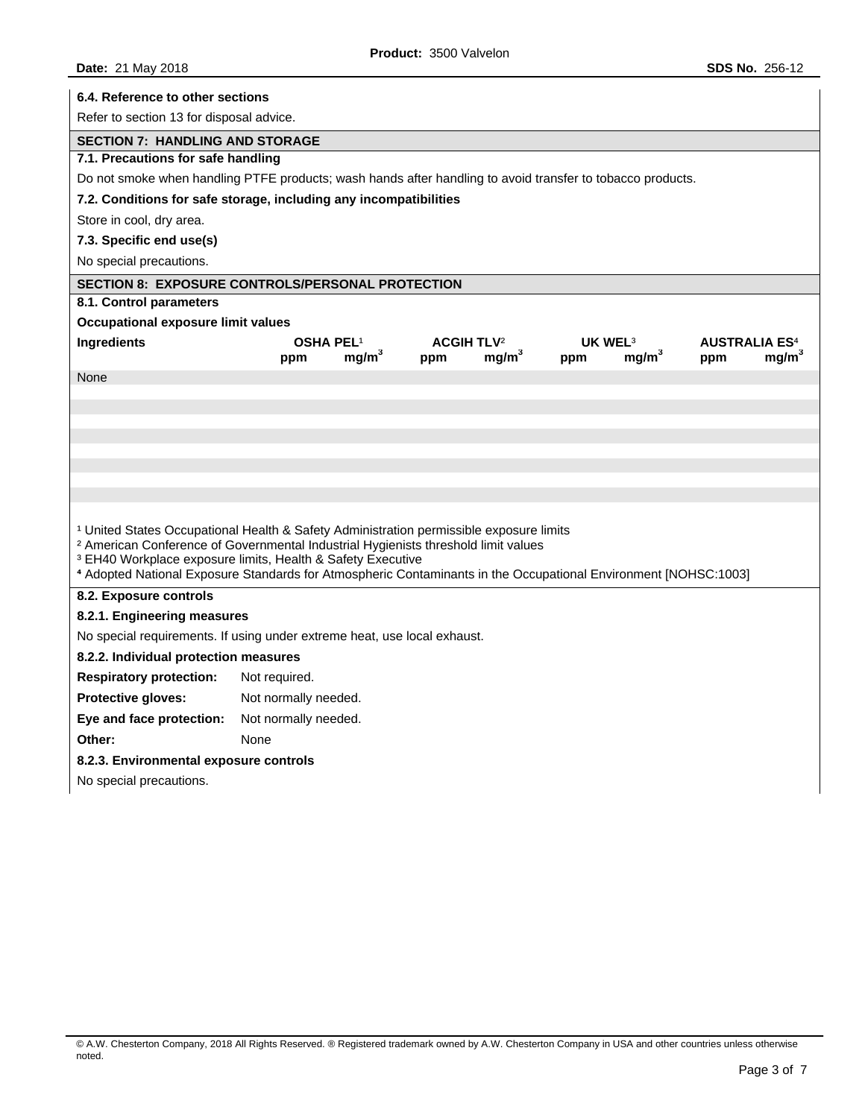|                                                                                                                                                                                                                                                                                                                                                                                                  | 6.4. Reference to other sections |                   |                                     |                   |                            |                   |                                        |                   |
|--------------------------------------------------------------------------------------------------------------------------------------------------------------------------------------------------------------------------------------------------------------------------------------------------------------------------------------------------------------------------------------------------|----------------------------------|-------------------|-------------------------------------|-------------------|----------------------------|-------------------|----------------------------------------|-------------------|
| Refer to section 13 for disposal advice.                                                                                                                                                                                                                                                                                                                                                         |                                  |                   |                                     |                   |                            |                   |                                        |                   |
| <b>SECTION 7: HANDLING AND STORAGE</b>                                                                                                                                                                                                                                                                                                                                                           |                                  |                   |                                     |                   |                            |                   |                                        |                   |
| 7.1. Precautions for safe handling                                                                                                                                                                                                                                                                                                                                                               |                                  |                   |                                     |                   |                            |                   |                                        |                   |
| Do not smoke when handling PTFE products; wash hands after handling to avoid transfer to tobacco products.                                                                                                                                                                                                                                                                                       |                                  |                   |                                     |                   |                            |                   |                                        |                   |
| 7.2. Conditions for safe storage, including any incompatibilities                                                                                                                                                                                                                                                                                                                                |                                  |                   |                                     |                   |                            |                   |                                        |                   |
| Store in cool, dry area.                                                                                                                                                                                                                                                                                                                                                                         |                                  |                   |                                     |                   |                            |                   |                                        |                   |
| 7.3. Specific end use(s)                                                                                                                                                                                                                                                                                                                                                                         |                                  |                   |                                     |                   |                            |                   |                                        |                   |
| No special precautions.                                                                                                                                                                                                                                                                                                                                                                          |                                  |                   |                                     |                   |                            |                   |                                        |                   |
| SECTION 8: EXPOSURE CONTROLS/PERSONAL PROTECTION                                                                                                                                                                                                                                                                                                                                                 |                                  |                   |                                     |                   |                            |                   |                                        |                   |
| 8.1. Control parameters                                                                                                                                                                                                                                                                                                                                                                          |                                  |                   |                                     |                   |                            |                   |                                        |                   |
| Occupational exposure limit values                                                                                                                                                                                                                                                                                                                                                               |                                  |                   |                                     |                   |                            |                   |                                        |                   |
| Ingredients                                                                                                                                                                                                                                                                                                                                                                                      | <b>OSHA PEL1</b><br>ppm          | mg/m <sup>3</sup> | <b>ACGIH TLV<sup>2</sup></b><br>ppm | mg/m <sup>3</sup> | UK WEL <sup>3</sup><br>ppm | mg/m <sup>3</sup> | <b>AUSTRALIA ES<sup>4</sup></b><br>ppm | mg/m <sup>3</sup> |
| None                                                                                                                                                                                                                                                                                                                                                                                             |                                  |                   |                                     |                   |                            |                   |                                        |                   |
|                                                                                                                                                                                                                                                                                                                                                                                                  |                                  |                   |                                     |                   |                            |                   |                                        |                   |
|                                                                                                                                                                                                                                                                                                                                                                                                  |                                  |                   |                                     |                   |                            |                   |                                        |                   |
|                                                                                                                                                                                                                                                                                                                                                                                                  |                                  |                   |                                     |                   |                            |                   |                                        |                   |
|                                                                                                                                                                                                                                                                                                                                                                                                  |                                  |                   |                                     |                   |                            |                   |                                        |                   |
|                                                                                                                                                                                                                                                                                                                                                                                                  |                                  |                   |                                     |                   |                            |                   |                                        |                   |
|                                                                                                                                                                                                                                                                                                                                                                                                  |                                  |                   |                                     |                   |                            |                   |                                        |                   |
| <sup>1</sup> United States Occupational Health & Safety Administration permissible exposure limits<br><sup>2</sup> American Conference of Governmental Industrial Hygienists threshold limit values<br><sup>3</sup> EH40 Workplace exposure limits, Health & Safety Executive<br>4 Adopted National Exposure Standards for Atmospheric Contaminants in the Occupational Environment [NOHSC:1003] |                                  |                   |                                     |                   |                            |                   |                                        |                   |
| 8.2. Exposure controls                                                                                                                                                                                                                                                                                                                                                                           |                                  |                   |                                     |                   |                            |                   |                                        |                   |
| 8.2.1. Engineering measures                                                                                                                                                                                                                                                                                                                                                                      |                                  |                   |                                     |                   |                            |                   |                                        |                   |
| No special requirements. If using under extreme heat, use local exhaust.                                                                                                                                                                                                                                                                                                                         |                                  |                   |                                     |                   |                            |                   |                                        |                   |
| 8.2.2. Individual protection measures                                                                                                                                                                                                                                                                                                                                                            |                                  |                   |                                     |                   |                            |                   |                                        |                   |
| <b>Respiratory protection:</b>                                                                                                                                                                                                                                                                                                                                                                   | Not required.                    |                   |                                     |                   |                            |                   |                                        |                   |
| Protective gloves:                                                                                                                                                                                                                                                                                                                                                                               | Not normally needed.             |                   |                                     |                   |                            |                   |                                        |                   |
| Eye and face protection:                                                                                                                                                                                                                                                                                                                                                                         | Not normally needed.             |                   |                                     |                   |                            |                   |                                        |                   |
| Other:                                                                                                                                                                                                                                                                                                                                                                                           | None                             |                   |                                     |                   |                            |                   |                                        |                   |
| 8.2.3. Environmental exposure controls                                                                                                                                                                                                                                                                                                                                                           |                                  |                   |                                     |                   |                            |                   |                                        |                   |
| No special precautions.                                                                                                                                                                                                                                                                                                                                                                          |                                  |                   |                                     |                   |                            |                   |                                        |                   |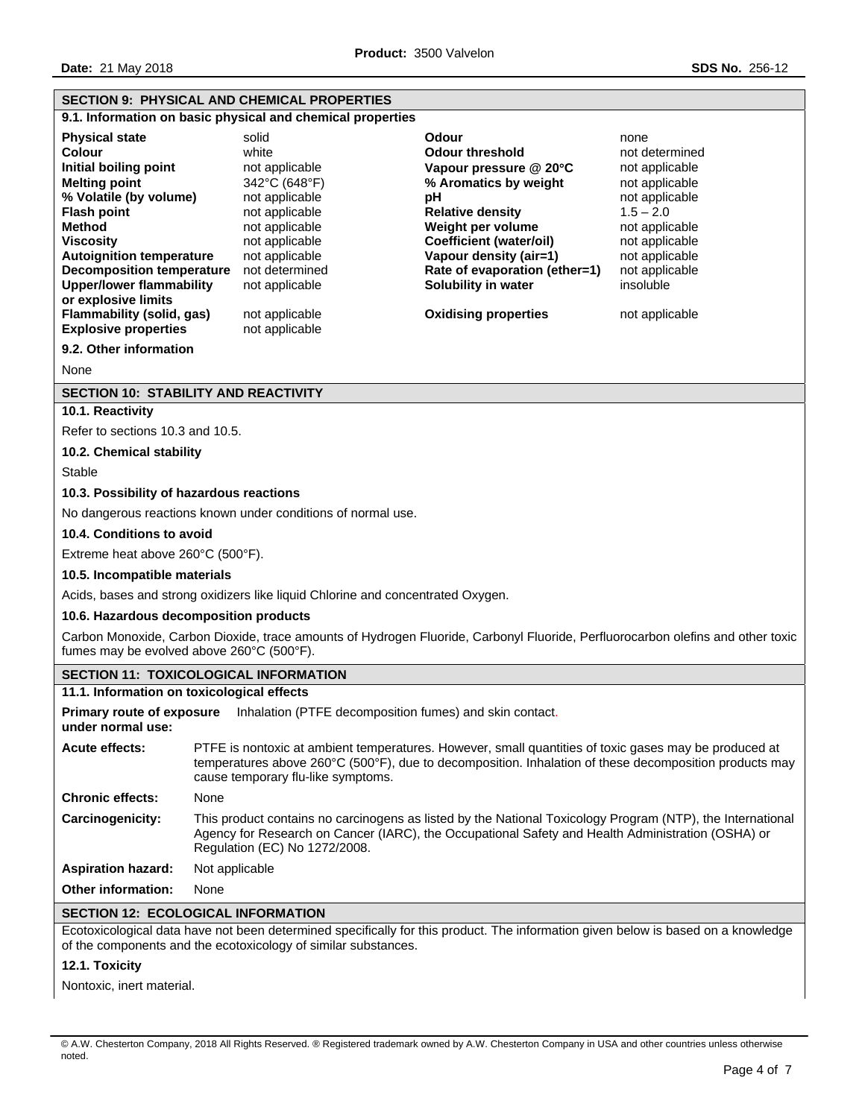# **SECTION 9: PHYSICAL AND CHEMICAL PROPERTIES**

**9.1. Information on basic physical and chemical properties** 

| <b>Physical state</b>                                  | solid          | Odour                         | none           |
|--------------------------------------------------------|----------------|-------------------------------|----------------|
| <b>Colour</b>                                          | white          | <b>Odour threshold</b>        | not determined |
| Initial boiling point                                  | not applicable | Vapour pressure $@$ 20 $°C$   | not applicable |
| <b>Melting point</b>                                   | 342°C (648°F)  | % Aromatics by weight         | not applicable |
| % Volatile (by volume)                                 | not applicable | рH                            | not applicable |
| <b>Flash point</b>                                     | not applicable | <b>Relative density</b>       | $1.5 - 2.0$    |
| <b>Method</b>                                          | not applicable | Weight per volume             | not applicable |
| <b>Viscosity</b>                                       | not applicable | Coefficient (water/oil)       | not applicable |
| <b>Autoignition temperature</b>                        | not applicable | Vapour density (air=1)        | not applicable |
| <b>Decomposition temperature</b>                       | not determined | Rate of evaporation (ether=1) | not applicable |
| <b>Upper/lower flammability</b><br>or explosive limits | not applicable | Solubility in water           | insoluble      |
| Flammability (solid, gas)                              | not applicable | <b>Oxidising properties</b>   | not applicable |
| <b>Explosive properties</b>                            | not applicable |                               |                |
| 9.2. Other information                                 |                |                               |                |
| <b>ALC</b> 2                                           |                |                               |                |

None

### **SECTION 10: STABILITY AND REACTIVITY**

**10.1. Reactivity** 

Refer to sections 10.3 and 10.5.

### **10.2. Chemical stability**

Stable

### **10.3. Possibility of hazardous reactions**

No dangerous reactions known under conditions of normal use.

### **10.4. Conditions to avoid**

Extreme heat above 260°C (500°F).

**10.5. Incompatible materials** 

Acids, bases and strong oxidizers like liquid Chlorine and concentrated Oxygen.

**10.6. Hazardous decomposition products** 

Carbon Monoxide, Carbon Dioxide, trace amounts of Hydrogen Fluoride, Carbonyl Fluoride, Perfluorocarbon olefins and other toxic fumes may be evolved above 260°C (500°F).

# **SECTION 11: TOXICOLOGICAL INFORMATION 11.1. Information on toxicological effects Primary route of exposure**  Inhalation (PTFE decomposition fumes) and skin contact. **under normal use: Acute effects:** PTFE is nontoxic at ambient temperatures. However, small quantities of toxic gases may be produced at temperatures above 260°C (500°F), due to decomposition. Inhalation of these decomposition products may cause temporary flu-like symptoms. **Chronic effects:** None **Carcinogenicity:** This product contains no carcinogens as listed by the National Toxicology Program (NTP), the International Agency for Research on Cancer (IARC), the Occupational Safety and Health Administration (OSHA) or Regulation (EC) No 1272/2008. **Aspiration hazard:** Not applicable **Other information:** None

# **SECTION 12: ECOLOGICAL INFORMATION**

Ecotoxicological data have not been determined specifically for this product. The information given below is based on a knowledge of the components and the ecotoxicology of similar substances.

### **12.1. Toxicity**

Nontoxic, inert material.

<sup>©</sup> A.W. Chesterton Company, 2018 All Rights Reserved. ® Registered trademark owned by A.W. Chesterton Company in USA and other countries unless otherwise noted.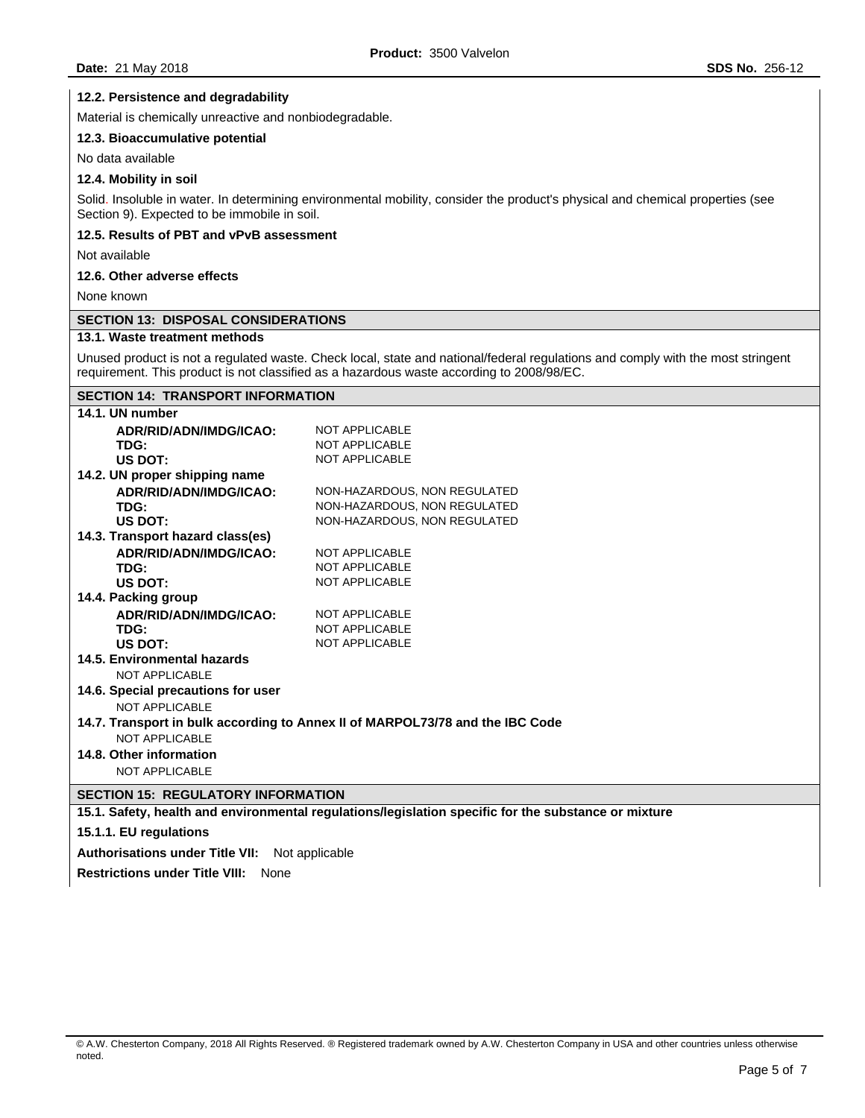### **12.2. Persistence and degradability**

Material is chemically unreactive and nonbiodegradable.

### **12.3. Bioaccumulative potential**

No data available

### **12.4. Mobility in soil**

Solid. Insoluble in water. In determining environmental mobility, consider the product's physical and chemical properties (see Section 9). Expected to be immobile in soil.

#### **12.5. Results of PBT and vPvB assessment**

Not available

### **12.6. Other adverse effects**

None known

# **SECTION 13: DISPOSAL CONSIDERATIONS**

#### **13.1. Waste treatment methods**

Unused product is not a regulated waste. Check local, state and national/federal regulations and comply with the most stringent requirement. This product is not classified as a hazardous waste according to 2008/98/EC.

## **SECTION 14: TRANSPORT INFORMATION**

| 14.1. UN number                    |                                                                               |
|------------------------------------|-------------------------------------------------------------------------------|
| ADR/RID/ADN/IMDG/ICAO:             | <b>NOT APPLICABLE</b>                                                         |
| TDG:                               | <b>NOT APPLICABLE</b>                                                         |
| US DOT:                            | <b>NOT APPLICABLE</b>                                                         |
| 14.2. UN proper shipping name      |                                                                               |
| ADR/RID/ADN/IMDG/ICAO:             | NON-HAZARDOUS, NON REGULATED                                                  |
| TDG:                               | NON-HAZARDOUS, NON REGULATED                                                  |
| US DOT:                            | NON-HAZARDOUS, NON REGULATED                                                  |
| 14.3. Transport hazard class(es)   |                                                                               |
| ADR/RID/ADN/IMDG/ICAO:             | <b>NOT APPLICABLE</b>                                                         |
| TDG:                               | <b>NOT APPLICABLE</b>                                                         |
| US DOT:                            | <b>NOT APPLICABLE</b>                                                         |
| 14.4. Packing group                |                                                                               |
| ADR/RID/ADN/IMDG/ICAO:             | <b>NOT APPLICABLE</b>                                                         |
| TDG:                               | <b>NOT APPLICABLE</b>                                                         |
| US DOT:                            | <b>NOT APPLICABLE</b>                                                         |
| 14.5. Environmental hazards        |                                                                               |
| NOT APPLICABLE                     |                                                                               |
| 14.6. Special precautions for user |                                                                               |
| NOT APPLICABLE                     |                                                                               |
|                                    | 14.7. Transport in bulk according to Annex II of MARPOL73/78 and the IBC Code |
| <b>NOT APPLICABLE</b>              |                                                                               |
| 14.8. Other information            |                                                                               |
| <b>NOT APPLICABLE</b>              |                                                                               |

### **SECTION 15: REGULATORY INFORMATION**

**15.1. Safety, health and environmental regulations/legislation specific for the substance or mixture** 

### **15.1.1. EU regulations**

**Authorisations under Title VII:** Not applicable

**Restrictions under Title VIII:** None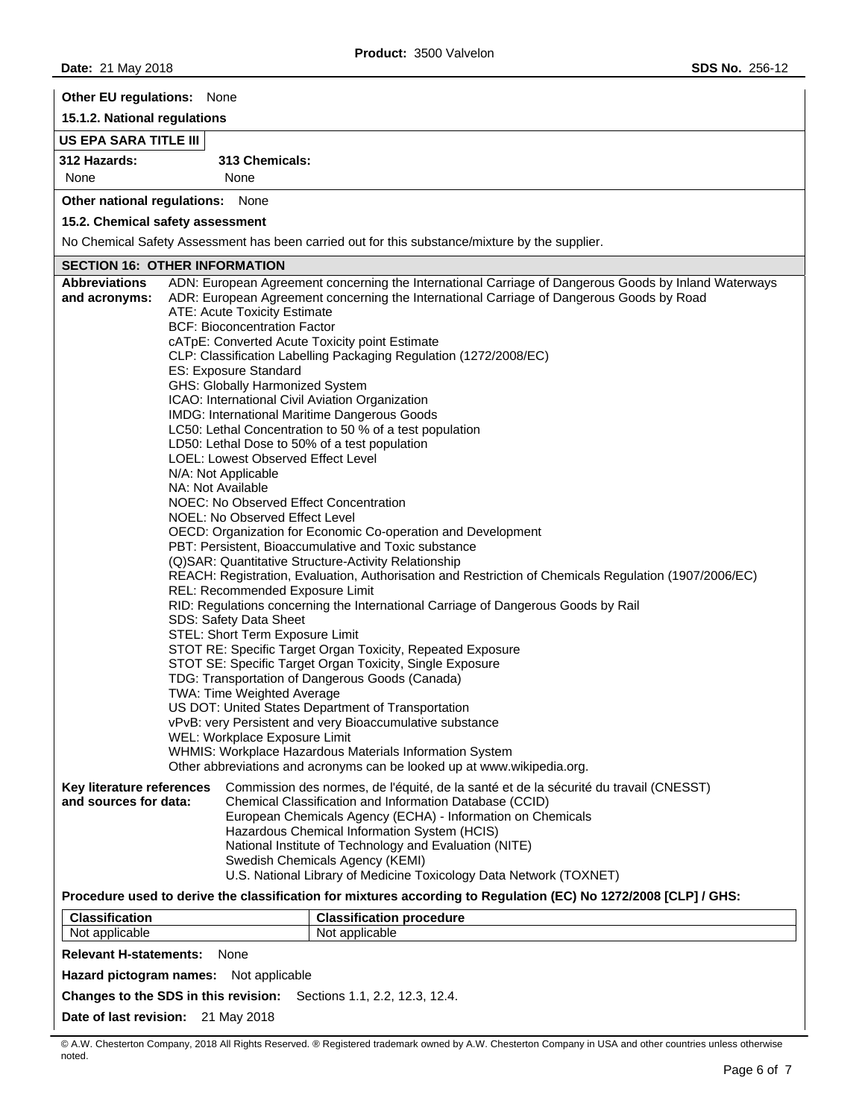**Other EU regulations:** None

**15.1.2. National regulations** 

# **US EPA SARA TITLE III**

**312 Hazards: 313 Chemicals:**  None None

**Other national regulations:** None

# **15.2. Chemical safety assessment**

No Chemical Safety Assessment has been carried out for this substance/mixture by the supplier.

# **SECTION 16: OTHER INFORMATION**

| <b>Abbreviations</b>                                                                                                               |                                                                                                                        | ADN: European Agreement concerning the International Carriage of Dangerous Goods by Inland Waterways                   |  |  |  |
|------------------------------------------------------------------------------------------------------------------------------------|------------------------------------------------------------------------------------------------------------------------|------------------------------------------------------------------------------------------------------------------------|--|--|--|
| and acronyms:                                                                                                                      | ADR: European Agreement concerning the International Carriage of Dangerous Goods by Road                               |                                                                                                                        |  |  |  |
|                                                                                                                                    | ATE: Acute Toxicity Estimate                                                                                           |                                                                                                                        |  |  |  |
|                                                                                                                                    | <b>BCF: Bioconcentration Factor</b>                                                                                    |                                                                                                                        |  |  |  |
|                                                                                                                                    | cATpE: Converted Acute Toxicity point Estimate                                                                         |                                                                                                                        |  |  |  |
|                                                                                                                                    | CLP: Classification Labelling Packaging Regulation (1272/2008/EC)                                                      |                                                                                                                        |  |  |  |
|                                                                                                                                    | ES: Exposure Standard                                                                                                  |                                                                                                                        |  |  |  |
|                                                                                                                                    | GHS: Globally Harmonized System<br>ICAO: International Civil Aviation Organization                                     |                                                                                                                        |  |  |  |
|                                                                                                                                    | IMDG: International Maritime Dangerous Goods                                                                           |                                                                                                                        |  |  |  |
|                                                                                                                                    | LC50: Lethal Concentration to 50 % of a test population                                                                |                                                                                                                        |  |  |  |
|                                                                                                                                    | LD50: Lethal Dose to 50% of a test population                                                                          |                                                                                                                        |  |  |  |
|                                                                                                                                    | LOEL: Lowest Observed Effect Level                                                                                     |                                                                                                                        |  |  |  |
|                                                                                                                                    | N/A: Not Applicable                                                                                                    |                                                                                                                        |  |  |  |
|                                                                                                                                    | NA: Not Available                                                                                                      |                                                                                                                        |  |  |  |
|                                                                                                                                    | NOEC: No Observed Effect Concentration<br>NOEL: No Observed Effect Level                                               |                                                                                                                        |  |  |  |
|                                                                                                                                    |                                                                                                                        | OECD: Organization for Economic Co-operation and Development                                                           |  |  |  |
|                                                                                                                                    |                                                                                                                        | PBT: Persistent, Bioaccumulative and Toxic substance                                                                   |  |  |  |
|                                                                                                                                    |                                                                                                                        | (Q)SAR: Quantitative Structure-Activity Relationship                                                                   |  |  |  |
|                                                                                                                                    | REACH: Registration, Evaluation, Authorisation and Restriction of Chemicals Regulation (1907/2006/EC)                  |                                                                                                                        |  |  |  |
|                                                                                                                                    | REL: Recommended Exposure Limit                                                                                        |                                                                                                                        |  |  |  |
|                                                                                                                                    | RID: Regulations concerning the International Carriage of Dangerous Goods by Rail                                      |                                                                                                                        |  |  |  |
|                                                                                                                                    | SDS: Safety Data Sheet<br>STEL: Short Term Exposure Limit                                                              |                                                                                                                        |  |  |  |
|                                                                                                                                    |                                                                                                                        |                                                                                                                        |  |  |  |
|                                                                                                                                    | STOT RE: Specific Target Organ Toxicity, Repeated Exposure<br>STOT SE: Specific Target Organ Toxicity, Single Exposure |                                                                                                                        |  |  |  |
|                                                                                                                                    | TDG: Transportation of Dangerous Goods (Canada)                                                                        |                                                                                                                        |  |  |  |
| TWA: Time Weighted Average                                                                                                         |                                                                                                                        |                                                                                                                        |  |  |  |
| US DOT: United States Department of Transportation                                                                                 |                                                                                                                        |                                                                                                                        |  |  |  |
| vPvB: very Persistent and very Bioaccumulative substance                                                                           |                                                                                                                        |                                                                                                                        |  |  |  |
| WEL: Workplace Exposure Limit                                                                                                      |                                                                                                                        |                                                                                                                        |  |  |  |
| WHMIS: Workplace Hazardous Materials Information System<br>Other abbreviations and acronyms can be looked up at www.wikipedia.org. |                                                                                                                        |                                                                                                                        |  |  |  |
|                                                                                                                                    |                                                                                                                        |                                                                                                                        |  |  |  |
| Key literature references<br>and sources for data:                                                                                 |                                                                                                                        | Commission des normes, de l'équité, de la santé et de la sécurité du travail (CNESST)                                  |  |  |  |
|                                                                                                                                    |                                                                                                                        | Chemical Classification and Information Database (CCID)<br>European Chemicals Agency (ECHA) - Information on Chemicals |  |  |  |
|                                                                                                                                    |                                                                                                                        | Hazardous Chemical Information System (HCIS)                                                                           |  |  |  |
|                                                                                                                                    |                                                                                                                        | National Institute of Technology and Evaluation (NITE)                                                                 |  |  |  |
|                                                                                                                                    |                                                                                                                        | Swedish Chemicals Agency (KEMI)                                                                                        |  |  |  |
| U.S. National Library of Medicine Toxicology Data Network (TOXNET)                                                                 |                                                                                                                        |                                                                                                                        |  |  |  |
|                                                                                                                                    |                                                                                                                        | Procedure used to derive the classification for mixtures according to Regulation (EC) No 1272/2008 [CLP] / GHS:        |  |  |  |
| <b>Classification</b>                                                                                                              |                                                                                                                        | <b>Classification procedure</b>                                                                                        |  |  |  |
| Not applicable                                                                                                                     |                                                                                                                        | Not applicable                                                                                                         |  |  |  |
| <b>Relevant H-statements:</b>                                                                                                      | None                                                                                                                   |                                                                                                                        |  |  |  |
| Hazard pictogram names: Not applicable                                                                                             |                                                                                                                        |                                                                                                                        |  |  |  |
|                                                                                                                                    | Changes to the SDS in this revision:                                                                                   | Sections 1.1, 2.2, 12.3, 12.4.                                                                                         |  |  |  |
|                                                                                                                                    | Date of last revision: 21 May 2018                                                                                     |                                                                                                                        |  |  |  |

© A.W. Chesterton Company, 2018 All Rights Reserved. ® Registered trademark owned by A.W. Chesterton Company in USA and other countries unless otherwise noted.